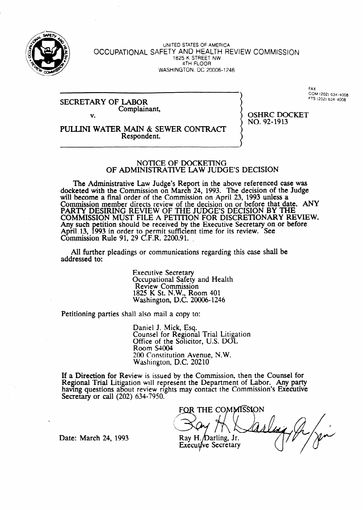

UNITED STATES OF AMERICA OCCUPATIONAL SAFETY AND HEALTH REVIEW COMMISSION 1825 K STREET NW **4TH** FLOOR **WASHINGTON, DC 20006-l 246** 

**I** 

NO. 92-1913

#### **SECRETARY OF LABOR** Complainant, v. **Supplementary, OSHRC DOCKET**

**FAX COM (202) 634-4008** 

PULLJNI WATER MAIN & SEWER CONTRACT Respondent.

#### NOTICE OF DOCKETING OF ADMINISTRATIVE LAW JUDGE'S **DECISION**

The Administrative Law Judge's Report in the above referenced case was docketed with the Commission on March 24, 1993. The decision of the Judge will become a final order of the Commission on April 23, 1993 unless a Commission member directs review of the decision on or before that date. ANY PARTY DESIRING REVIEW OF THE JUDGE'S DECISION BY THE COMMISSION MUST FILE A PETITION FOR DISCRETIONARY REVIEW. Any such petition should be received by the Executive Secretary on or before-April 13, 1993 in order to permit sufficient time for its review. See  $Common, Rule 91, 29 C.F.R. 2200.91.$ 

All further pleadings or communications regarding this case shall be addressed to:

> Executive Secretary Occupational Safety and Health Review Commission 1825 K St. N.W., Room 401 Washington, D.C. 20006-1246

Petitioning parties shall also mail a copy to:

Daniel J. Mick, Esq. Counsel for Regional Trial Litigation Office of the Solicitor, U.S. DOL Room S4004 200 Constitution Avenue, N.W. Washington, D.C. 20210

If a Direction for Review is issued by the Commission, then the Counsel for Regional Trial Litigation will represent the Department of Labor. Any party having questions about review rights may contact the Commission's Executive Secretary or call (202) 634-7950.

FOR THE COMMISSION Ray H. Darling, Jr. **Executive Secretary** 

Date: March 24, 1993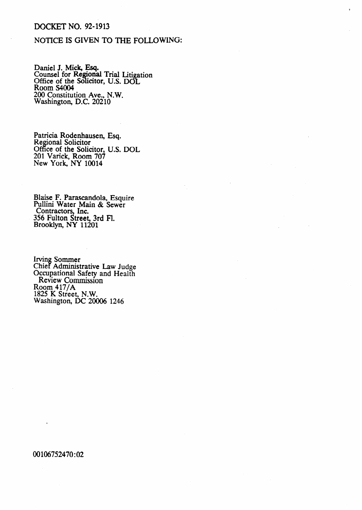## DOCKET NO. 92-1913

## NOTICE IS GIVEN TO THE FOLLOWING:

Daniel J. Mick, Esq. Counsel for Regional Trial Litig <u>olic</u> ation Office of the Solicitor, U.S. DOL Room S4004 200 Constitution Ave., N.W. Washington, D.C. 20210

Patricia Rodenhausen, Esq. Regional Solicitor Office of the Solicitor, U.S. DOL 201 Varick, Room 7O? New York, NY 10014

Blaise F. Parascandola, Esquire Pullini Water Main & Sewer Contractors, Inc. 356 Fulton Street, 3rd Fl. Brooklyn, NY 11201

Irving Sommer Chief Administrative Law Judge Occupational Safety and **Health Review** Commission Room  $417/A$ 1825 K Street, N.W. Washington, DC 20006 1246

## 00106752470:02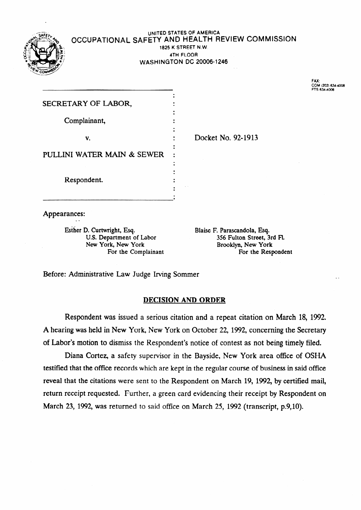

### **UNITED STATES OF AMERICA** OCCUPATIONAL SAFETY AND HEALTH REVIEW COMMISSION **1825** K STREET N.W. **t 4TH FLOOR WASHINGTON DC 20006-1246**

.

**FAX: COM (202) 6344008 FE 634408** 

. .

| SECRETARY OF LABOR,        |  |
|----------------------------|--|
|                            |  |
| Complainant,               |  |
|                            |  |
| v.                         |  |
| PULLINI WATER MAIN & SEWER |  |
|                            |  |
|                            |  |
| Respondent.                |  |
|                            |  |
|                            |  |
|                            |  |

Appearances: . .

> Esther D. Curtwright, Esq.<br>
> U.S. Department of Labor<br>
> 356 Fulton Street, 3 For the Complainant

U.S. Department of Labor 356 Fulton Street, 3rd FL<br>
New York, New York Brooklyn, New York Brooklyn, New York<br>For the Respondent

Docket No. 92-1913

Before: Administrative Law Judge Irving Sommer

## DECISION AND ORDER

Respondent was issued a serious citation and a repeat citation on March 18, 1992. A hearing was held in New York, New York on October 22, 1992, concerning the Secretary of Labor's motion to dismiss the Respondent's notice of contest as not being timely filed.

Diana Cortez, a safety supervisor in the Bayside, New York area office of OSHA testified that the office records which are kept in the regular course of business in said office reveal that the citations were sent to the Respondent on March 19, 1992, by certified mail, return receipt requested. Further, a green card evidencing their receipt by Respondent on March 23, 1992, was returned to said office on March 25, 1992 (transcript, p.9,10).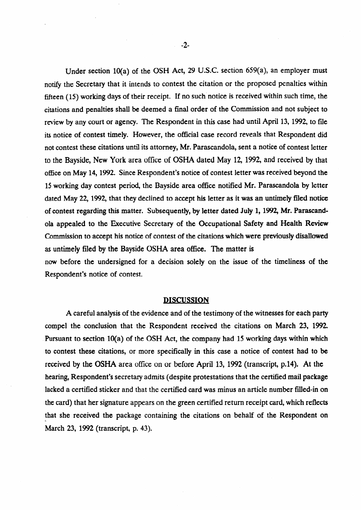Under section lo(a) of the OSH Act, 29 U.S.C. section 659(a), **an** employer must notify the Secretary that it intends to contest the citation or the proposed penalties within fifteen  $(15)$  working days of their receipt. If no such notice is received within such time, the citations and penalties shall be deemed a final order of the Commission and not subject to review by any court or agency. The Respondent in this case had until April 13, 1992, to file its notice of contest timely. However, the official case record reveals that Respondent did not contest these citations until its attorney, Mr. Parascandola, sent a notice of contest letter to the Bayside, New York area office of OSHA dated May 12, 1992, and received by that office on May 14,1992. Since Respondent's notice of contest letter was received beyond the 15 working day contest period, the Bayside area office notified Mr. Parascandola by letter dated May 22, 1992, that they declined to accept his letter as it was an untimely filed notice of contest regarding this matter. Subsequently, by letter dated July 1, 1992, Mr. Parascandola appealed to the Executive Secretary of the Occupational Safety and Health Review Commission to accept his notice of contest of the citations which were previously disallowed as untimely filed by the Bayside OSHA area office. The matter is

now before the undersigned for a decision solely on the issue of the timeliness of the Respondent's notice of contest.

#### DISCUSSION

A careful analysis of the evidence and of the testimony of the witnesses for each party compel the conclusion that the Respondent received the citations on March 23, 1992. Pursuant to section 10(a) of the OSH Act, the company had 15 working days within which to contest these citations, or more specifically in this case a notice of contest had to be received by the OSHA area office on or before April 13, 1992 (transcript, p.14). At the hearing, Respondent's secretary admits (despite protestations that the certified mail package lacked a certified sticker and that the certified card was minus an article number filled-in on the card) that her signature appears on the green certified return receipt card, which reflects that she received the package containing the citations on behalf of the Respondent on March 23, 1992 (transcript, p. 43).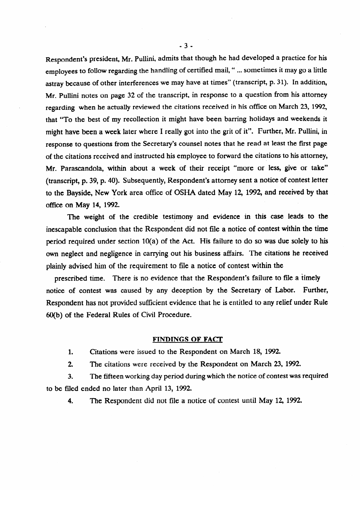Respondent's president, Mr. Pullini, admits that though he had developed a practice for his employees to follow regarding the handling of certified mail, " ... sometimes it may go a little astray because of other interferences we may have at times" (transcript, p. 31). In addition, Mr. Pullini notes on page 32 of the transcript, in response to a question from his attorney regarding when he actually reviewed the citations received in his office on March 23, 1992, that "To the best of my recollection it might have been barring holidays and weekends it<br>might have been a week later where I really got into the grit of it". Further, Mr. Pullini, in response to questions from the Secretary's counsel notes that he read at least the first page of the citations received and instructed his employee to forward the citations to his attorney, Mr. Parascandola, within about a week of their receipt "more or less, give or take" (transcript, p. 39, p. 40). Subsequently, Respondent's attorney sent a notice of contest letter to the Bayside, New York area office of OSHA dated May 12, 1992, and received by that office on May 14, 1992. dated May 12, 1992, and received by the ceived by the ceived by the ceived by the ceived by the ceived by that  $\alpha$ 

The weight of the credible testimony and evidence in this case leads to the inescapable conclusion that the Respondent did not file a notice of contest within the time period required under section  $10(a)$  of the Act. His failure to do so was due solely to his own neglect and negligence in carrying out his business affairs. The citations he received plainly advised him of the requirement to file a notice of contest within the

prescribed time. There is no evidence that the Respondent's failure to file a timely notice of contest was caused by any deception by the Secretary of Labor. Further, Respondent has not provided sufficient evidence that he is entitled to any relief under Rule. 60(b) of the Federal Rules of Civil Procedure.

#### **FINDINGS OF FACT**

 $1.$ Citations were issued to the Respondent on March 18, 1992.

2. The citations were received by the Respondent on March 23, 1992.

3. The fifteen working day period during which the notice of contest was required to be filed ended no later than April 13, 1992.

4. The Respondent did not file a notice of contest until May 12, 1992.

 $-3-$